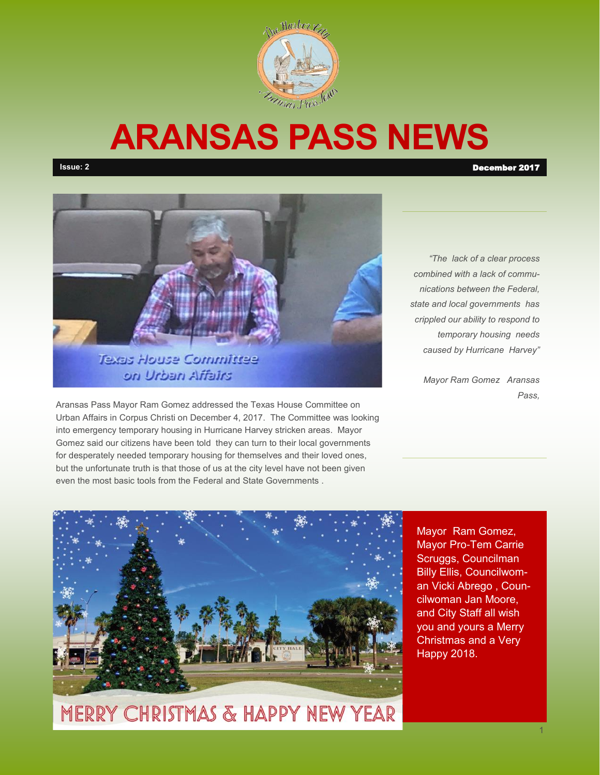

# **ARANSAS PASS NEWS**





Aransas Pass Mayor Ram Gomez addressed the Texas House Committee on Urban Affairs in Corpus Christi on December 4, 2017. The Committee was looking into emergency temporary housing in Hurricane Harvey stricken areas. Mayor Gomez said our citizens have been told they can turn to their local governments for desperately needed temporary housing for themselves and their loved ones, but the unfortunate truth is that those of us at the city level have not been given even the most basic tools from the Federal and State Governments .

*"The lack of a clear process combined with a lack of communications between the Federal, state and local governments has crippled our ability to respond to temporary housing needs caused by Hurricane Harvey"* 

> *Mayor Ram Gomez Aransas Pass,*



**MERRY CHRISTMAS & HAPPY NEW YEAR** 

Mayor Ram Gomez, Mayor Pro-Tem Carrie Scruggs, Councilman Billy Ellis, Councilwoman Vicki Abrego , Councilwoman Jan Moore, and City Staff all wish you and yours a Merry Christmas and a Very Happy 2018.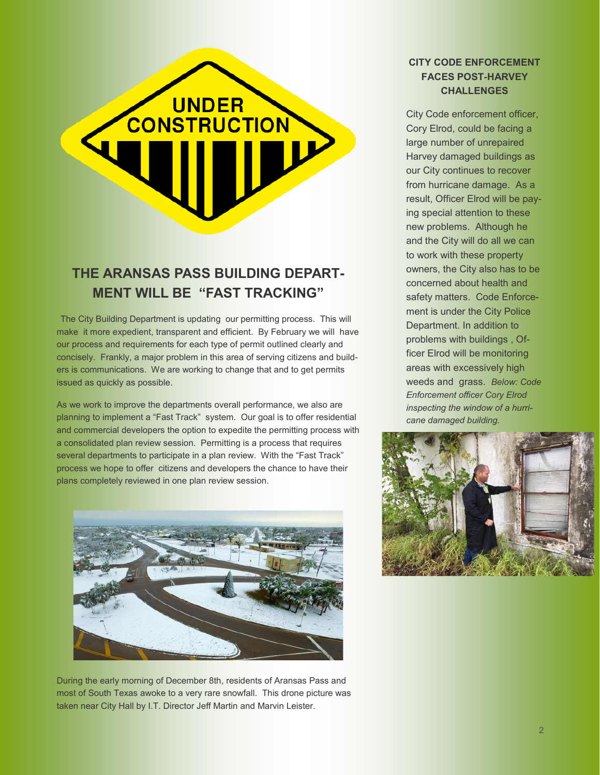# **CONSTRUCTION**

# **THE ARANSAS PASS BUILDING DEPART-MENT WILL BE "FAST TRACKING"**

The City Building Department is updating our permitting process. This will make it more expedient, transparent and efficient. By February we will have our process and requirements for each type of permit outlined clearly and concisely. Frankly, a major problem in this area of serving citizens and builders is communications. We are working to change that and to get permits issued as quickly as possible.

As we work to improve the departments overall performance, we also are planning to implement a "Fast Track" system. Our goal is to offer residential and commercial developers the option to expedite the permitting process with a consolidated plan review session. Permitting is a process that requires several departments to participate in a plan review. With the "Fast Track" process we hope to offer citizens and developers the chance to have their plans completely reviewed in one plan review session.



During the early morning of December 8th, residents of Aransas Pass and most of South Texas awoke to a very rare snowfall. This drone picture was taken near City Hall by I.T. Director Jeff Martin and Marvin Leister.

### **CITY CODE ENFORCEMENT FACES POST-HARVEY CHALLENGES**

City Code enforcement officer, Cory Elrod, could be facing a large number of unrepaired Harvey damaged buildings as our City continues to recover from hurricane damage. As a result, Officer Elrod will be paying special attention to these new problems. Although he and the City will do all we can to work with these property owners, the City also has to be concerned about health and safety matters. Code Enforcement is under the City Police Department. In addition to problems with buildings , Officer Elrod will be monitoring areas with excessively high weeds and grass. *Below: Code Enforcement officer Cory Elrod inspecting the window of a hurricane damaged building.*

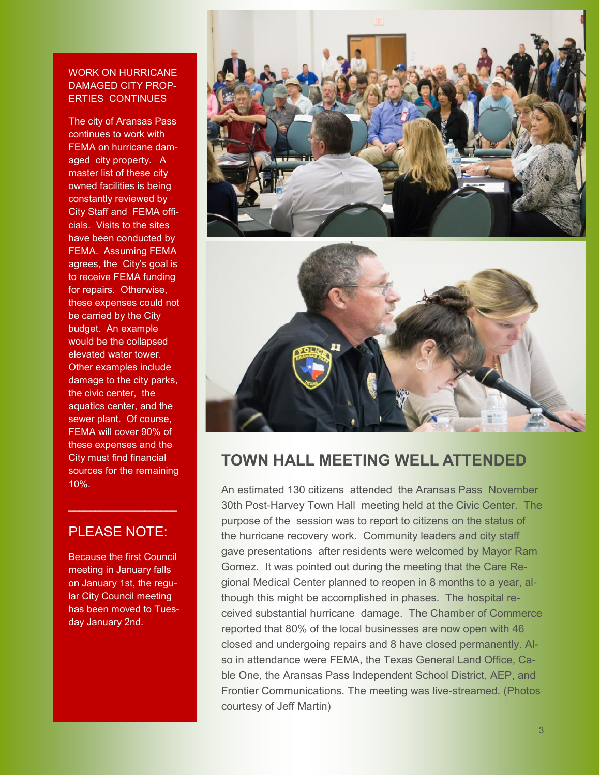### WORK ON HURRICANE DAMAGED CITY PROP-ERTIES CONTINUES

The city of Aransas Pass continues to work with FEMA on hurricane damaged city property. A master list of these city owned facilities is being constantly reviewed by City Staff and FEMA officials. Visits to the sites have been conducted by FEMA. Assuming FEMA agrees, the City's goal is to receive FEMA funding for repairs. Otherwise, these expenses could not be carried by the City budget. An example would be the collapsed elevated water tower. Other examples include damage to the city parks, the civic center, the aquatics center, and the sewer plant. Of course, FEMA will cover 90% of these expenses and the City must find financial sources for the remaining 10%.

## PLEASE NOTE:

 $\mathcal{L}_\text{max}$  and  $\mathcal{L}_\text{max}$  and  $\mathcal{L}_\text{max}$ 

Because the first Council meeting in January falls on January 1st, the regular City Council meeting has been moved to Tuesday January 2nd.



# **TOWN HALL MEETING WELL ATTENDED**

An estimated 130 citizens attended the Aransas Pass November 30th Post-Harvey Town Hall meeting held at the Civic Center. The purpose of the session was to report to citizens on the status of the hurricane recovery work. Community leaders and city staff gave presentations after residents were welcomed by Mayor Ram Gomez. It was pointed out during the meeting that the Care Regional Medical Center planned to reopen in 8 months to a year, although this might be accomplished in phases. The hospital received substantial hurricane damage. The Chamber of Commerce reported that 80% of the local businesses are now open with 46 closed and undergoing repairs and 8 have closed permanently. Also in attendance were FEMA, the Texas General Land Office, Cable One, the Aransas Pass Independent School District, AEP, and Frontier Communications. The meeting was live-streamed. (Photos courtesy of Jeff Martin)